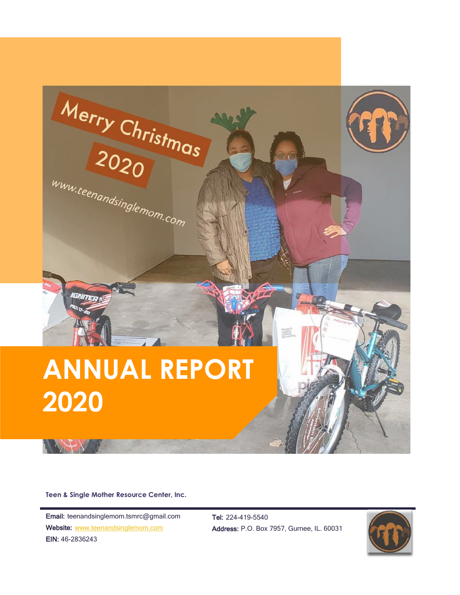

**Teen & Single Mother Resource Center, Inc.**

Email: teenandsinglemom.tsmrc@gmail.com Website: [www.teenandsinglemom.com](http://www.teenandsinglemom.com/) EIN: 46-2836243

Tel: 224-419-5540 Address: P.O. Box 7957, Gurnee, IL. 60031

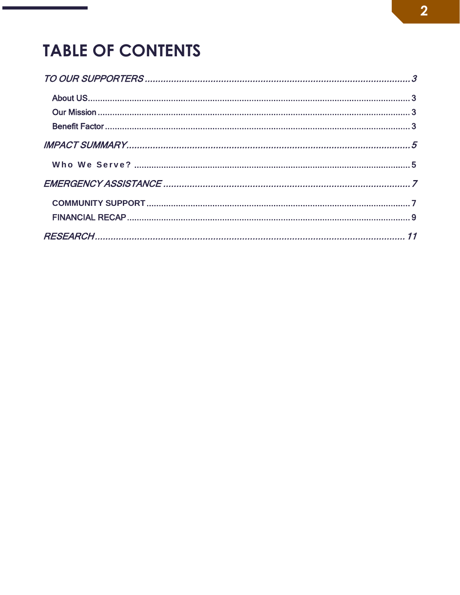## **TABLE OF CONTENTS**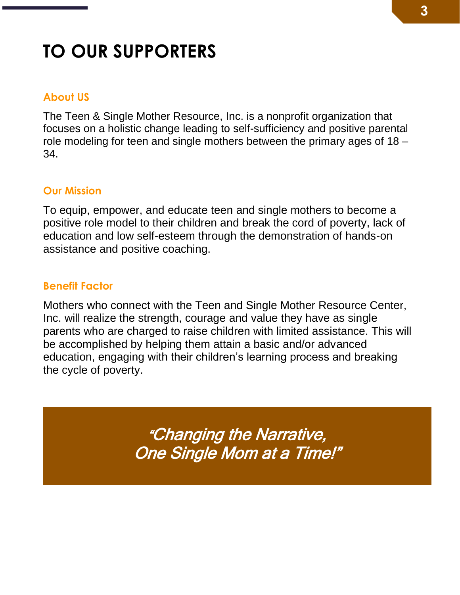# <span id="page-2-0"></span>**TO OUR SUPPORTERS**

#### <span id="page-2-1"></span>**About US**

The Teen & Single Mother Resource, Inc. is a nonprofit organization that focuses on a holistic change leading to self-sufficiency and positive parental role modeling for teen and single mothers between the primary ages of 18 – 34.

#### <span id="page-2-2"></span>**Our Mission**

To equip, empower, and educate teen and single mothers to become a positive role model to their children and break the cord of poverty, lack of education and low self-esteem through the demonstration of hands-on assistance and positive coaching.

#### <span id="page-2-3"></span>**Benefit Factor**

Mothers who connect with the Teen and Single Mother Resource Center, Inc. will realize the strength, courage and value they have as single parents who are charged to raise children with limited assistance. This will be accomplished by helping them attain a basic and/or advanced education, engaging with their children's learning process and breaking the cycle of poverty.

> "Changing the Narrative, One Single Mom at a Time!"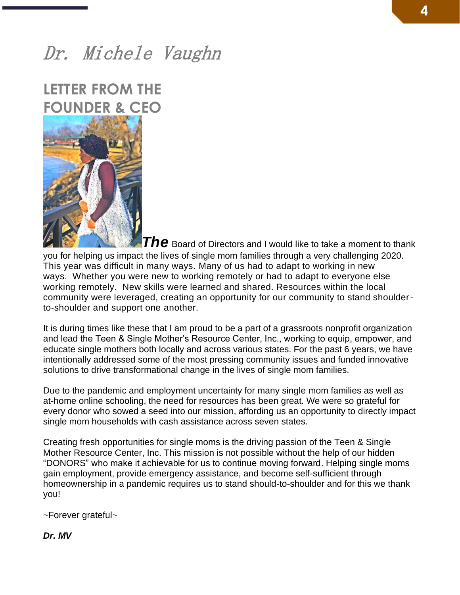## Dr. Michele Vaughn

### **LETTER FROM THE FOUNDER & CEO**



*The* Board of Directors and I would like to take a moment to thank you for helping us impact the lives of single mom families through a very challenging 2020. This year was difficult in many ways. Many of us had to adapt to working in new ways. Whether you were new to working remotely or had to adapt to everyone else working remotely. New skills were learned and shared. Resources within the local community were leveraged, creating an opportunity for our community to stand shoulderto-shoulder and support one another.

It is during times like these that I am proud to be a part of a grassroots nonprofit organization and lead the Teen & Single Mother's Resource Center, Inc., working to equip, empower, and educate single mothers both locally and across various states. For the past 6 years, we have intentionally addressed some of the most pressing community issues and funded innovative solutions to drive transformational change in the lives of single mom families.

Due to the pandemic and employment uncertainty for many single mom families as well as at-home online schooling, the need for resources has been great. We were so grateful for every donor who sowed a seed into our mission, affording us an opportunity to directly impact single mom households with cash assistance across seven states.

Creating fresh opportunities for single moms is the driving passion of the Teen & Single Mother Resource Center, Inc. This mission is not possible without the help of our hidden "DONORS" who make it achievable for us to continue moving forward. Helping single moms gain employment, provide emergency assistance, and become self-sufficient through homeownership in a pandemic requires us to stand should-to-shoulder and for this we thank you!

~Forever grateful~

*Dr. MV*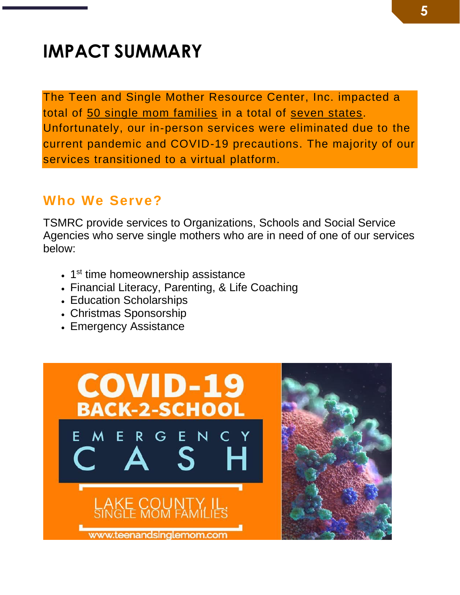# <span id="page-4-0"></span>**IMPACT SUMMARY**

The Teen and Single Mother Resource Center, Inc. impacted a total of 50 single mom families in a total of seven states. Unfortunately, our in-person services were eliminated due to the current pandemic and COVID-19 precautions. The majority of our services transitioned to a virtual platform.

### <span id="page-4-1"></span>**Who We Serve?**

TSMRC provide services to Organizations, Schools and Social Service Agencies who serve single mothers who are in need of one of our services below:

- 1<sup>st</sup> time homeownership assistance
- Financial Literacy, Parenting, & Life Coaching
- Education Scholarships
- Christmas Sponsorship
- Emergency Assistance

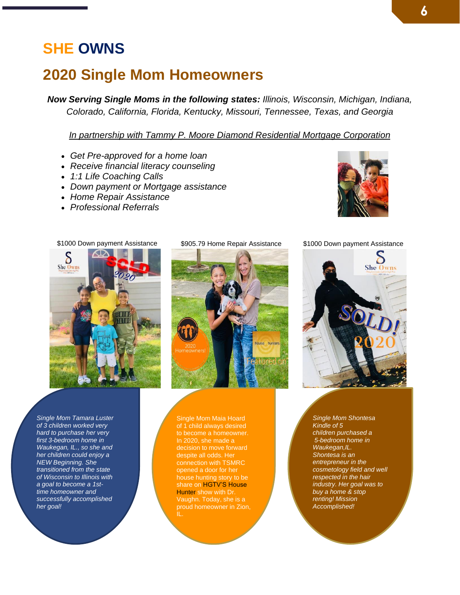### **SHE OWNS**

### **2020 Single Mom Homeowners**

*Now Serving Single Moms in the following states: Illinois, Wisconsin, Michigan, Indiana, Colorado, California, Florida, Kentucky, Missouri, Tennessee, Texas, and Georgia*

*In partnership with Tammy P. Moore Diamond Residential Mortgage [Corporation](https://tammypmoore.com/if-you-are-renting)*

- *Get Pre-approved for a home loan*
- *Receive financial literacy counseling*
- *1:1 Life Coaching Calls*
- *Down payment or Mortgage assistance*
- *Home Repair Assistance*
- *Professional Referrals*





*Single Mom Tamara Luster of 3 children worked very hard to purchase her very first 3-bedroom home in Waukegan, IL., so she and her children could enjoy a NEW Beginning. She transitioned from the state of Wisconsin to Illinois with a goal to become a 1sttime homeowner and successfully accomplished her goal!*

\$905.79 Home Repair Assistance \$1000 Down payment Assistance



Single Mom Maia Hoard of 1 child always desired decision to move forward despite all odds. Her connection with TSMRC opened a door for her house hunting story to be share on HGTV'S House Hunter show with Dr. Vaughn. Today, she is a proud homeowner in Zion,





*Single Mom Shontesa Kindle of 5 children purchased a 5-bedroom home in Waukegan,IL. Shontesa is an entrepreneur in the cosmetology field and well respected in the hair industry. Her goal was to buy a home & stop renting! Mission Accomplished!*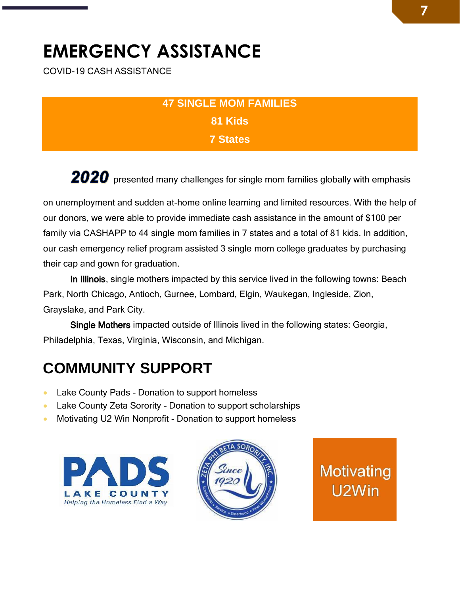# <span id="page-6-0"></span>**EMERGENCY ASSISTANCE**

COVID-19 CASH ASSISTANCE

### **47 SINGLE MOM FAMILIES 81 Kids 7 States**

2020 presented many challenges for single mom families globally with emphasis

on unemployment and sudden at-home online learning and limited resources. With the help of our donors, we were able to provide immediate cash assistance in the amount of \$100 per family via CASHAPP to 44 single mom families in 7 states and a total of 81 kids. In addition, our cash emergency relief program assisted 3 single mom college graduates by purchasing their cap and gown for graduation.

In Illinois, single mothers impacted by this service lived in the following towns: Beach Park, North Chicago, Antioch, Gurnee, Lombard, Elgin, Waukegan, Ingleside, Zion, Grayslake, and Park City.

 Single Mothers impacted outside of Illinois lived in the following states: Georgia, Philadelphia, Texas, Virginia, Wisconsin, and Michigan.

## <span id="page-6-1"></span>**COMMUNITY SUPPORT**

- Lake County Pads Donation to support homeless
- Lake County Zeta Sorority Donation to support scholarships
- Motivating U2 Win Nonprofit Donation to support homeless





Motivating U<sub>2</sub>Win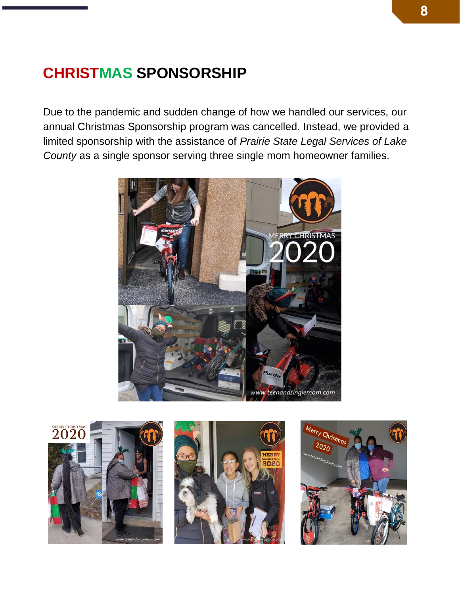## **CHRISTMAS SPONSORSHIP**

Due to the pandemic and sudden change of how we handled our services, our annual Christmas Sponsorship program was cancelled. Instead, we provided a limited sponsorship with the assistance of *Prairie State Legal Services of Lake County* as a single sponsor serving three single mom homeowner families.







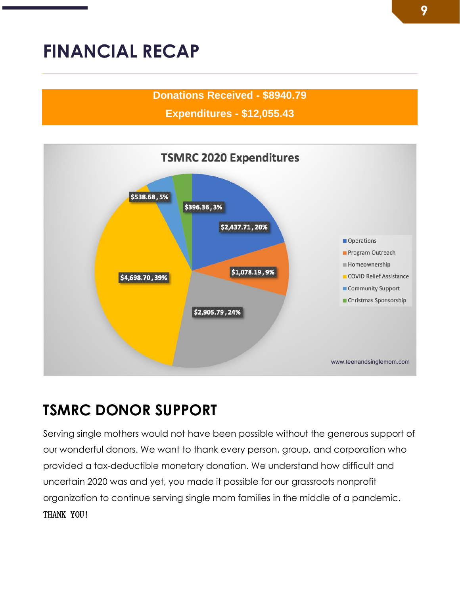## <span id="page-8-0"></span>**FINANCIAL RECAP**

#### **Donations Received - \$8940.79**

**Expenditures - \$12,055.43**



## **TSMRC DONOR SUPPORT**

Serving single mothers would not have been possible without the generous support of our wonderful donors. We want to thank every person, group, and corporation who provided a tax-deductible monetary donation. We understand how difficult and uncertain 2020 was and yet, you made it possible for our grassroots nonprofit organization to continue serving single mom families in the middle of a pandemic. THANK YOU!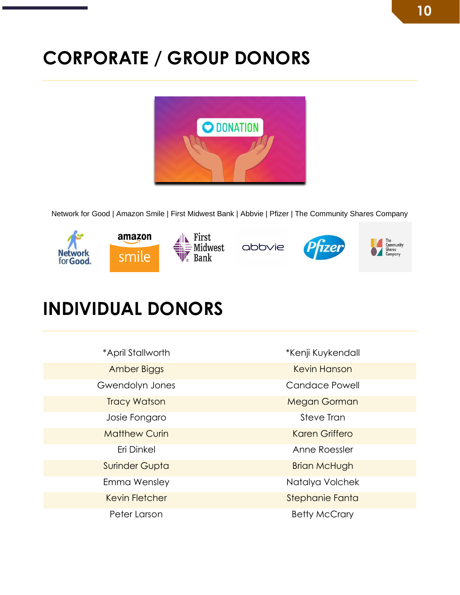# **CORPORATE / GROUP DONORS**



Network for Good | Amazon Smile | First Midwest Bank | Abbvie | Pfizer | The Community Shares Company



## **INDIVIDUAL DONORS**

| *April Stallworth     | *Kenji Kuykendall     |
|-----------------------|-----------------------|
| Amber Biggs           | <b>Kevin Hanson</b>   |
| Gwendolyn Jones       | <b>Candace Powell</b> |
| <b>Tracy Watson</b>   | <b>Megan Gorman</b>   |
| Josie Fongaro         | Steve Tran            |
| <b>Matthew Curin</b>  | <b>Karen Griffero</b> |
| Eri Dinkel            | Anne Roessler         |
| <b>Surinder Gupta</b> | <b>Brian McHugh</b>   |
| Emma Wensley          | Natalya Volchek       |
| <b>Kevin Fletcher</b> | Stephanie Fanta       |
| Peter Larson          | <b>Betty McCrary</b>  |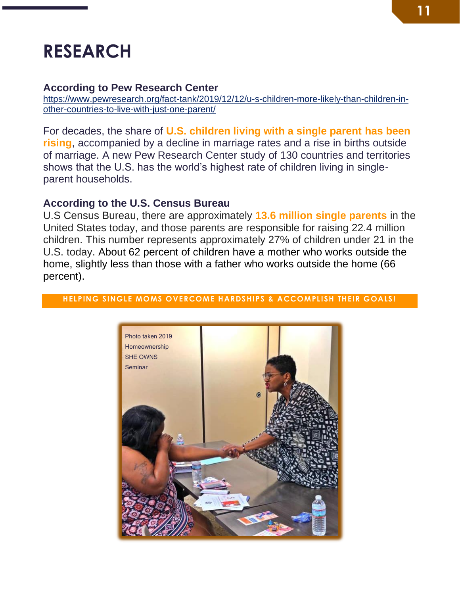## <span id="page-10-0"></span>**RESEARCH**

#### **According to Pew Research Center**

[https://www.pewresearch.org/fact-tank/2019/12/12/u-s-children-more-likely-than-children-in](https://www.pewresearch.org/fact-tank/2019/12/12/u-s-children-more-likely-than-children-in-other-countries-to-live-with-just-one-parent/)[other-countries-to-live-with-just-one-parent/](https://www.pewresearch.org/fact-tank/2019/12/12/u-s-children-more-likely-than-children-in-other-countries-to-live-with-just-one-parent/)

For decades, the share of **U.S. children living with a single parent has been rising**, accompanied by a decline in marriage rates and a rise in births outside of marriage. A new Pew Research Center study of 130 countries and territories shows that the U.S. has the world's highest rate of children living in singleparent households.

#### **According to the U.S. Census Bureau**

U.S Census Bureau, there are approximately **13.6 million single parents** in the United States today, and those parents are responsible for raising 22.4 million children. This number represents approximately 27% of children under 21 in the U.S. today. About 62 percent of children have a mother who works outside the home, slightly less than those with a father who works outside the home (66 percent).



#### **HELPING SINGLE MOMS OVERCOME HARDSHIPS & ACCOMPLISH THEIR GOALS!**